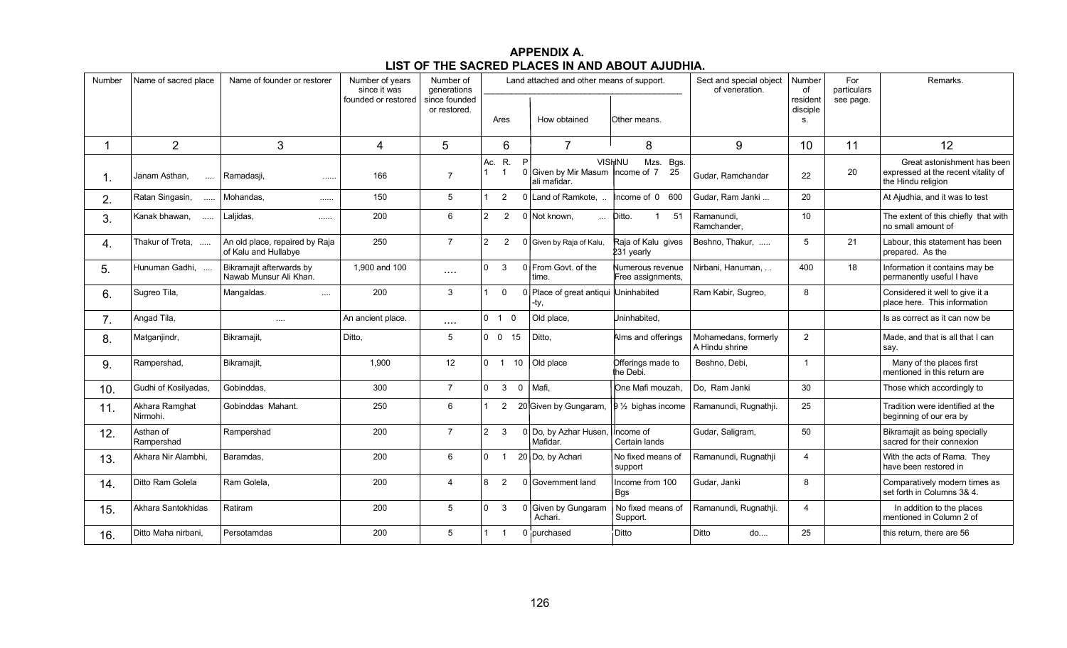## **APPENDIX A. LIST OF THE SACRED PLACES IN AND ABOUT AJUDHIA.**

| Number | Name of sacred place       | Name of founder or restorer                            | Number of years<br>since it was | Number of<br>generations      |                                               | Land attached and other means of support.                 |                                       | Sect and special object<br>of veneration. | Number<br>of               | For<br>particulars<br>see page. | Remarks.                                                                                 |
|--------|----------------------------|--------------------------------------------------------|---------------------------------|-------------------------------|-----------------------------------------------|-----------------------------------------------------------|---------------------------------------|-------------------------------------------|----------------------------|---------------------------------|------------------------------------------------------------------------------------------|
|        |                            |                                                        | founded or restored             | since founded<br>or restored. | Ares                                          | How obtained                                              | lOther means.                         |                                           | resident<br>disciple<br>S. |                                 |                                                                                          |
| 1.     | 2                          | 3                                                      | 4                               | 5                             | 6                                             | $\overline{7}$                                            | 8                                     | 9                                         | 10                         | 11                              | 12                                                                                       |
| 1.     | Janam Asthan,<br>$\cdots$  | Ramadasji,<br>                                         | 166                             | $\overline{7}$                | R.<br>Ac.<br>$\mathbf{1}$                     | P<br>0 Given by Mir Masum $ n$ hcome of 7<br>ali mafidar. | Mzs. Bgs.<br><b>VISHNU</b><br>25      | Gudar, Ramchandar                         | 22                         | 20                              | Great astonishment has been<br>expressed at the recent vitality of<br>the Hindu religion |
| 2.     | Ratan Singasin,<br>$\sim$  | Mohandas,<br>                                          | 150                             | 5                             | 2                                             | 0 Land of Ramkote,                                        | Income of 0 600                       | Gudar, Ram Janki                          | 20                         |                                 | At Ajudhia, and it was to test                                                           |
| 3.     | Kanak bhawan,              | Laljidas,<br>$\cdots$                                  | 200                             | 6                             | $\overline{2}$<br>$\overline{2}$              | 0 Not known.<br>$\sim 10^{-1}$                            | Ditto.<br>$\mathbf{1}$<br>-51         | Ramanundi.<br>Ramchander.                 | 10 <sup>°</sup>            |                                 | The extent of this chiefly that with<br>no small amount of                               |
| 4.     | Thakur of Treta,           | An old place, repaired by Raja<br>of Kalu and Hullabve | 250                             | $\overline{7}$                | $\overline{2}$<br>2                           | 0 Given by Raja of Kalu,                                  | Raja of Kalu gives<br>231 yearly      | Beshno, Thakur,                           | 5                          | 21                              | Labour, this statement has been<br>prepared. As the                                      |
| 5.     | Hunuman Gadhi,             | Bikramajit afterwards by<br>Nawab Munsur Ali Khan.     | 1,900 and 100                   | $\ldots$ .                    | $\Omega$<br>3                                 | 0 From Govt. of the<br>time                               | Numerous revenue<br>Free assignments, | Nirbani, Hanuman,                         | 400                        | 18                              | Information it contains may be<br>permanently useful I have                              |
| 6.     | Sugreo Tila,               | Mangaldas.<br>$\sim 100$                               | 200                             | 3                             | $\Omega$                                      | 0 Place of great antiqui Uninhabited<br>-tv.              |                                       | Ram Kabir, Sugreo,                        | 8                          |                                 | Considered it well to give it a<br>place here. This information                          |
| 7.     | Angad Tila,                | $\ldots$ .                                             | An ancient place.               | $\cdots$ .                    | $0$ 1 0                                       | Old place,                                                | Uninhabited,                          |                                           |                            |                                 | Is as correct as it can now be                                                           |
| 8.     | Matganjindr,               | Bikramajit,                                            | Ditto,                          | $5\,$                         | $0$ 0 15                                      | Ditto,                                                    | Alms and offerings                    | Mohamedans, formerly<br>A Hindu shrine    | $\overline{2}$             |                                 | Made, and that is all that I can<br>say.                                                 |
| 9.     | Rampershad,                | Bikramajit,                                            | 1,900                           | 12                            | $0 \quad 1$<br>10                             | Old place                                                 | Offerings made to<br>the Debi.        | Beshno, Debi,                             | $\overline{1}$             |                                 | Many of the places first<br>mentioned in this return are                                 |
| 10.    | Gudhi of Kosilyadas,       | Gobinddas,                                             | 300                             | $\overline{7}$                | $\overline{0}$<br>$\mathbf{3}$<br>$\mathbf 0$ | Mafi.                                                     | One Mafi mouzah,                      | Do, Ram Janki                             | 30                         |                                 | Those which accordingly to                                                               |
| 11.    | Akhara Ramghat<br>Nirmohi. | Gobinddas Mahant.                                      | 250                             | 6                             | $\overline{2}$                                | 20 Given by Gungaram, $\vert \beta \rangle$ bighas income |                                       | Ramanundi, Rugnathii.                     | 25                         |                                 | Tradition were identified at the<br>beginning of our era by                              |
| 12.    | Asthan of<br>Rampershad    | Rampershad                                             | 200                             | $\overline{7}$                | $2^{\circ}$<br>$\mathbf{3}$                   | 0 Do, by Azhar Husen,<br>Mafidar.                         | Income of<br>Certain lands            | Gudar, Saligram,                          | 50                         |                                 | Bikramajit as being specially<br>sacred for their connexion                              |
| 13.    | Akhara Nir Alambhi,        | Baramdas,                                              | 200                             | 6                             | $\Omega$<br>$\overline{1}$                    | 20 Do, by Achari                                          | No fixed means of<br>support          | Ramanundi, Rugnathji                      | 4                          |                                 | With the acts of Rama. They<br>have been restored in                                     |
| 14.    | Ditto Ram Golela           | Ram Golela.                                            | 200                             | $\overline{4}$                | 8<br>2                                        | 0 Government land                                         | Income from 100<br>Bas                | Gudar, Janki                              | 8                          |                                 | Comparatively modern times as<br>set forth in Columns 3& 4.                              |
| 15.    | Akhara Santokhidas         | Ratiram                                                | 200                             | 5                             | $\mathbf 0$<br>$\mathbf{3}$                   | 0 Given by Gungaram<br>Achari.                            | No fixed means of<br>Support.         | Ramanundi, Rugnathji.                     | $\overline{4}$             |                                 | In addition to the places<br>mentioned in Column 2 of                                    |
| 16.    | Ditto Maha nirbani,        | Persotamdas                                            | 200                             | 5                             | $\overline{1}$                                | 0 purchased                                               | Ditto                                 | Ditto<br>do                               | 25                         |                                 | this return, there are 56                                                                |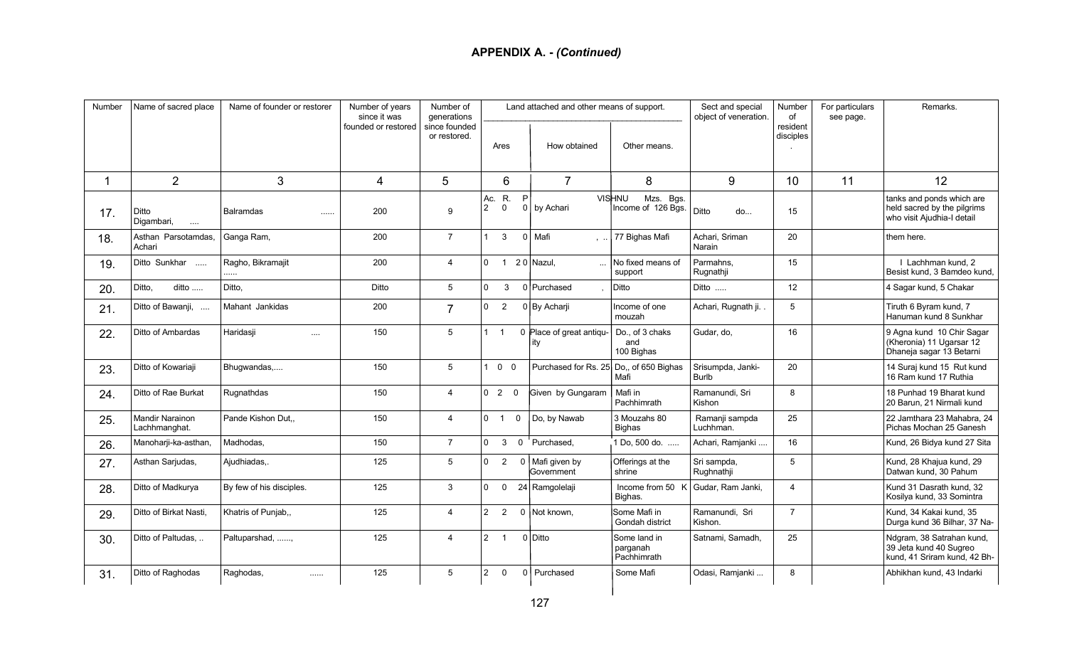| Number | Name of sacred place             | Name of founder or restorer | Number of years<br>since it was | Number of<br>generations      |                            |                  | Land attached and other means of support. |                                                  | Sect and special<br>object of veneration. | Number<br>of          | For particulars<br>see page. | Remarks.                                                                               |
|--------|----------------------------------|-----------------------------|---------------------------------|-------------------------------|----------------------------|------------------|-------------------------------------------|--------------------------------------------------|-------------------------------------------|-----------------------|------------------------------|----------------------------------------------------------------------------------------|
|        |                                  |                             | founded or restored             | since founded<br>or restored. | Ares                       |                  | How obtained                              | Other means.                                     |                                           | resident<br>disciples |                              |                                                                                        |
|        | 2                                | 3                           | 4                               | 5                             | 6                          |                  | $\overline{7}$                            | 8                                                | 9                                         | 10                    | 11                           | 12                                                                                     |
| 17.    | Ditto<br>Digambari,<br>$\cdots$  | <b>Balramdas</b><br>1.1.1.1 | 200                             | 9                             | R.<br>Ac.<br>2<br>$\Omega$ | P<br>$\mathbf 0$ | by Achari                                 | <b>VISHNU</b><br>Mzs. Bgs.<br>Income of 126 Bgs. | Ditto<br>do                               | 15                    |                              | tanks and ponds which are<br>held sacred by the pilgrims<br>who visit Ajudhia-I detail |
| 18.    | Asthan Parsotamdas,<br>Achari    | Ganga Ram,                  | 200                             | $\overline{7}$                | 3<br>$\mathbf{1}$          | $\mathbf{0}$     | Mafi                                      | ,  77 Bighas Mafi                                | Achari, Sriman<br>Narain                  | 20                    |                              | them here.                                                                             |
| 19.    | Ditto Sunkhar                    | Ragho, Bikramajit<br>.      | 200                             | $\overline{4}$                | $\Omega$<br>$\overline{1}$ |                  | 20 Nazul,                                 | No fixed means of<br>support                     | Parmahns.<br>Rugnathji                    | 15                    |                              | I Lachhman kund, 2<br>Besist kund, 3 Bamdeo kund,                                      |
| 20.    | Ditto,<br>ditto                  | Ditto,                      | Ditto                           | 5                             | 3<br>$\Omega$              |                  | 0 Purchased                               | <b>Ditto</b>                                     | Ditto                                     | 12                    |                              | 4 Sagar kund, 5 Chakar                                                                 |
| 21.    | Ditto of Bawanji,                | Mahant Jankidas             | 200                             | $\overline{7}$                | $\Omega$<br>$\overline{2}$ |                  | 0 By Acharji                              | Income of one<br>mouzah                          | Achari, Rugnath ji.                       | 5                     |                              | Tiruth 6 Byram kund, 7<br>Hanuman kund 8 Sunkhar                                       |
| 22.    | Ditto of Ambardas                | Haridasii<br>$\sim$         | 150                             | 5                             | $1 \quad 1$                |                  | 0 Place of great antiqu-<br>itv           | Do., of 3 chaks<br>and<br>100 Bighas             | Gudar, do,                                | 16                    |                              | 9 Agna kund 10 Chir Sagar<br>(Kheronia) 11 Ugarsar 12<br>Dhaneja sagar 13 Betarni      |
| 23.    | Ditto of Kowariaji               | Bhugwandas,                 | 150                             | 5                             | 100                        |                  | Purchased for Rs. 25                      | Do., of 650 Bighas<br>Mafi                       | Srisumpda, Janki-<br><b>Burlb</b>         | 20                    |                              | 14 Suraj kund 15 Rut kund<br>16 Ram kund 17 Ruthia                                     |
| 24.    | Ditto of Rae Burkat              | Rugnathdas                  | 150                             | $\overline{4}$                | 0 <sub>2</sub>             | $\Omega$         | Given by Gungaram                         | Mafi in<br>Pachhimrath                           | Ramanundi. Sri<br>Kishon                  | 8                     |                              | 18 Punhad 19 Bharat kund<br>20 Barun, 21 Nirmali kund                                  |
| 25.    | Mandir Narainon<br>Lachhmanghat. | Pande Kishon Dut            | 150                             | $\overline{4}$                | 0 <sub>1</sub>             | $\mathbf 0$      | Do, by Nawab                              | 3 Mouzahs 80<br><b>Bighas</b>                    | Ramanji sampda<br>Luchhman.               | 25                    |                              | 22 Jamthara 23 Mahabra, 24<br>Pichas Mochan 25 Ganesh                                  |
| 26.    | Manoharji-ka-asthan,             | Madhodas,                   | 150                             | $\overline{7}$                | $\Omega$<br>$\mathbf{3}$   |                  | 0 Purchased,                              | 1 Do, 500 do.                                    | Achari, Ramjanki                          | 16                    |                              | Kund, 26 Bidya kund 27 Sita                                                            |
| 27.    | Asthan Sarjudas,                 | Aiudhiadas                  | 125                             | 5                             | $\Omega$<br>2              |                  | 0   Mafi given by<br>Government           | Offerings at the<br>shrine                       | Sri sampda,<br>Rughnathji                 | 5                     |                              | Kund, 28 Khajua kund, 29<br>Datwan kund. 30 Pahum                                      |
| 28.    | Ditto of Madkurya                | By few of his disciples.    | 125                             | $\mathbf{3}$                  | $\Omega$<br>$\mathbf 0$    |                  | 24 Ramgolelaji                            | Income from 50 K<br>Bighas.                      | Gudar, Ram Janki,                         | $\overline{4}$        |                              | Kund 31 Dasrath kund, 32<br>Kosilya kund, 33 Somintra                                  |
| 29.    | Ditto of Birkat Nasti,           | Khatris of Punjab,,         | 125                             | $\overline{4}$                | $2 \quad 2$                |                  | 0 Not known,                              | Some Mafi in<br>Gondah district                  | Ramanundi, Sri<br>Kishon.                 | $\overline{7}$        |                              | Kund, 34 Kakai kund, 35<br>Durga kund 36 Bilhar, 37 Na-                                |
| 30.    | Ditto of Paltudas,               | Paltuparshad, ,             | 125                             | $\overline{4}$                | $2 \quad 1$                |                  | 0 Ditto                                   | Some land in<br>parganah<br>Pachhimrath          | Satnami, Samadh,                          | 25                    |                              | Ndgram, 38 Satrahan kund,<br>39 Jeta kund 40 Sugreo<br>kund, 41 Sriram kund, 42 Bh-    |
| 31.    | Ditto of Raghodas                | Raghodas,<br>$\cdots$       | 125                             | 5                             | $\overline{2}$<br>$\Omega$ | $\overline{0}$   | Purchased                                 | Some Mafi                                        | Odasi, Ramjanki                           | 8                     |                              | Abhikhan kund, 43 Indarki                                                              |